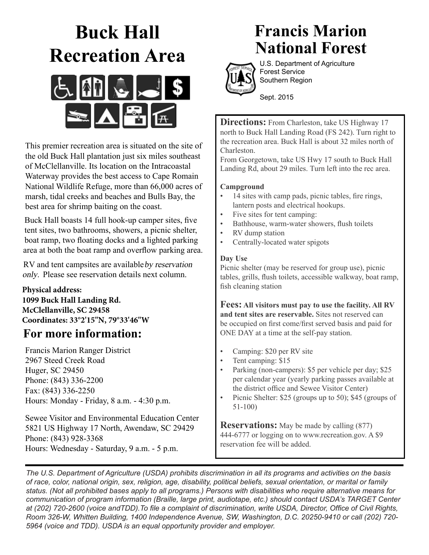# **Buck Hall Recreation Area**



This premier recreation area is situated on the site of the old Buck Hall plantation just six miles southeast of McClellanville. Its location on the Intracoastal Waterway provides the best access to Cape Romain National Wildlife Refuge, more than 66,000 acres of marsh, tidal creeks and beaches and Bulls Bay, the best area for shrimp baiting on the coast.

Buck Hall boasts 14 full hook-up camper sites, five tent sites, two bathrooms, showers, a picnic shelter, boat ramp, two floating docks and a lighted parking area at both the boat ramp and overflow parking area.

RV and tent campsites are available by reservation only. Please see reservation details next column.

**Physical address: 1099 Buck Hall Landing Rd. McClellanville, SC 29458 Coordinates: 33°2'15"N, 79°33'46"W**

### **For more information:**

Francis Marion Ranger District 2967 Steed Creek Road Huger, SC 29450 Phone: (843) 336-2200 Fax: (843) 336-2250 Hours: Monday - Friday, 8 a.m. - 4:30 p.m.

Sewee Visitor and Environmental Education Center 5821 US Highway 17 North, Awendaw, SC 29429 Phone: (843) 928-3368 Hours: Wednesday - Saturday, 9 a.m. - 5 p.m.

## **Francis Marion National Forest**



U.S. Department of Agriculture Forest Service Southern Region

Sept. 2015

**Directions:** From Charleston, take US Highway 17 north to Buck Hall Landing Road (FS 242). Turn right to the recreation area. Buck Hall is about 32 miles north of Charleston.

From Georgetown, take US Hwy 17 south to Buck Hall Landing Rd, about 29 miles. Turn left into the rec area.

### **Campground**

- 14 sites with camp pads, picnic tables, fire rings, lantern posts and electrical hookups.
- Five sites for tent camping:
- Bathhouse, warm-water showers, flush toilets
- RV dump station
- Centrally-located water spigots

#### **Day Use**

Picnic shelter (may be reserved for group use), picnic tables, grills, flush toilets, accessible walkway, boat ramp, fish cleaning station

**Fees: All visitors must pay to use the facility. All RV and tent sites are reservable.** Sites not reserved can be occupied on first come/first served basis and paid for ONE DAY at a time at the self-pay station.

- Camping: \$20 per RV site
- Tent camping: \$15
- Parking (non-campers): \$5 per vehicle per day; \$25 per calendar year (yearly parking passes available at the district office and Sewee Visitor Center)
- Picnic Shelter: \$25 (groups up to 50); \$45 (groups of 51-100)

**Reservations:** May be made by calling (877) 444-6777 or logging on to www.recreation.gov. A \$9 reservation fee will be added.

*The U.S. Department of Agriculture (USDA) prohibits discrimination in all its programs and activities on the basis of race, color, national origin, sex, religion, age, disability, political beliefs, sexual orientation, or marital or family status. (Not all prohibited bases apply to all programs.) Persons with disabilities who require alternative means for communication of program information (Braille, large print, audiotape, etc.) should contact USDA's TARGET Center at (202) 720-2600 (voice andTDD).To file a complaint of discrimination, write USDA, Director, Office of Civil Rights, Room 326-W, Whitten Building, 1400 Independence Avenue, SW, Washington, D.C. 20250-9410 or call (202) 720- 5964 (voice and TDD). USDA is an equal opportunity provider and employer.*